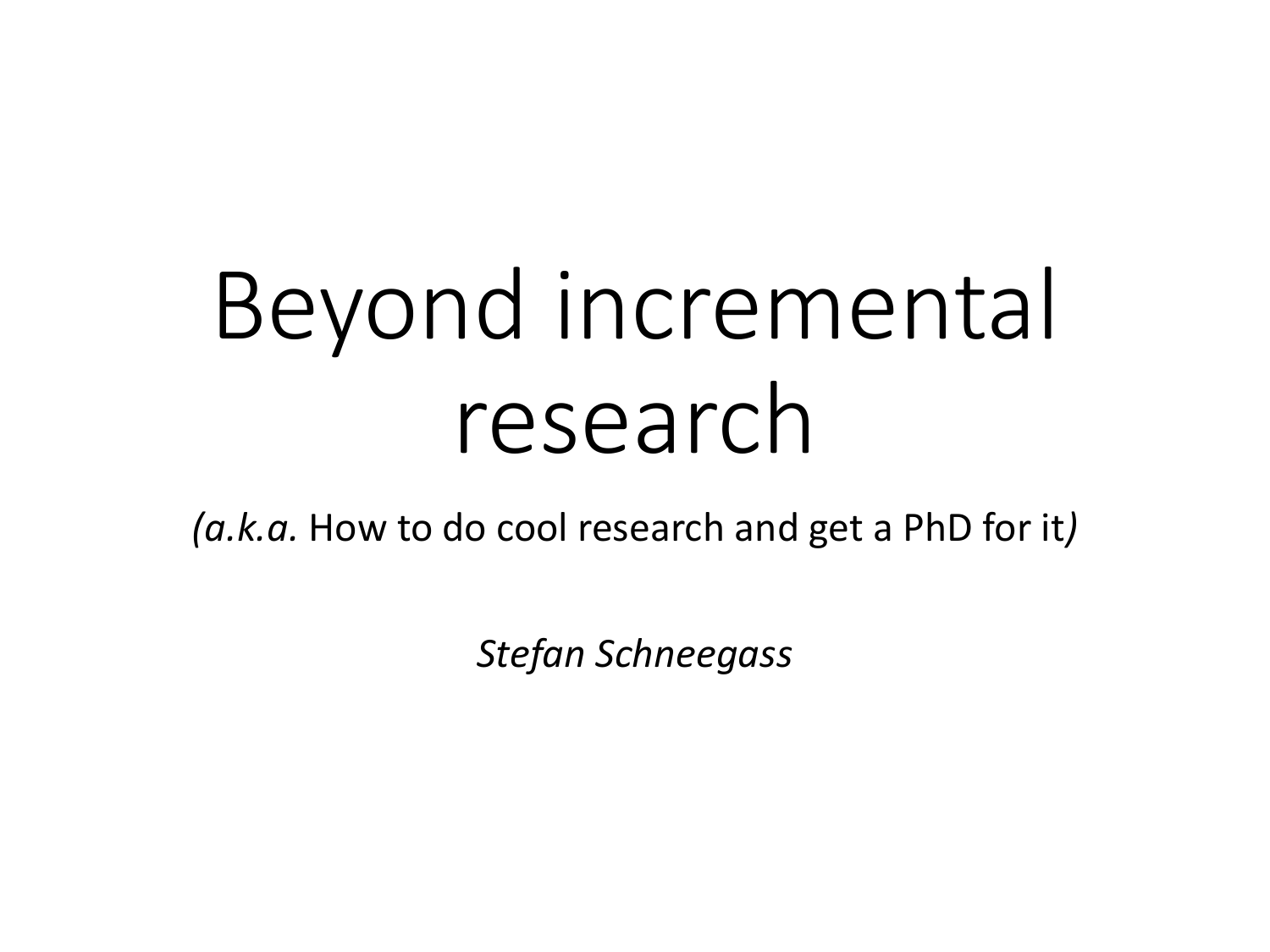# Beyond incremental research

*(a.k.a.* How to do cool research and get a PhD for it*)*

*Stefan Schneegass*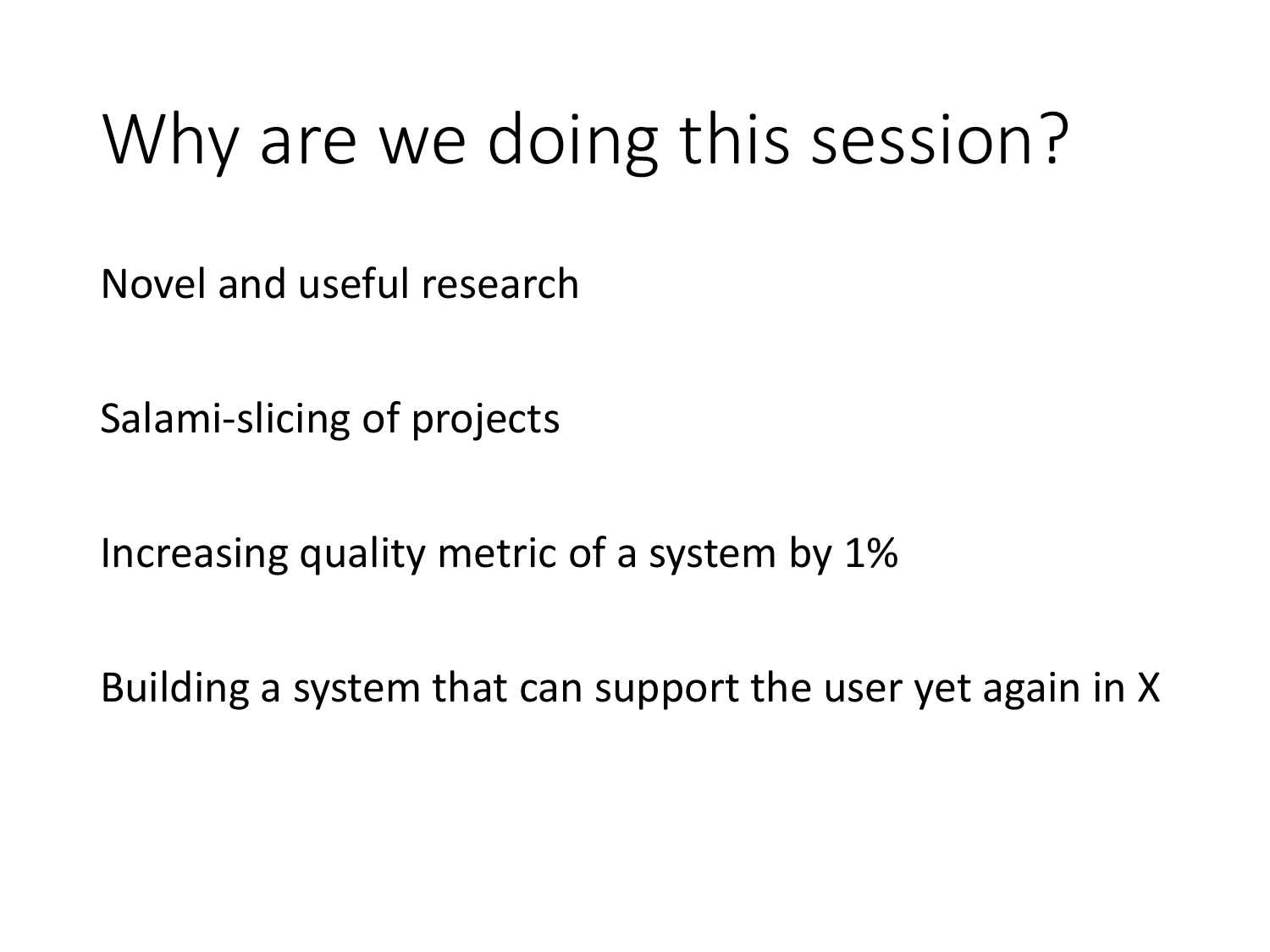## Why are we doing this session?

Novel and useful research

Salami-slicing of projects

Increasing quality metric of a system by 1%

Building a system that can support the user yet again in X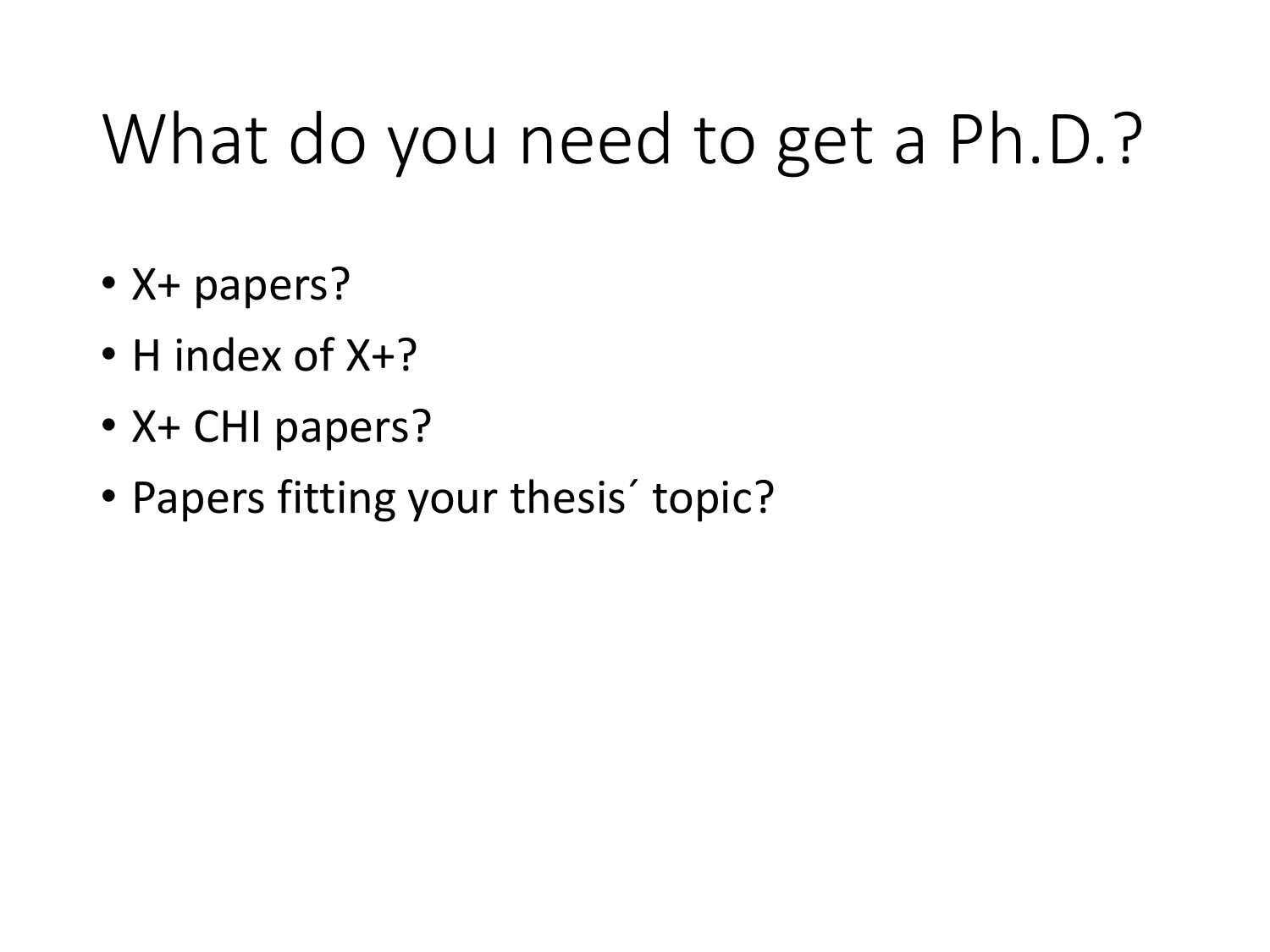## What do you need to get a Ph.D.?

- X+ papers?
- H index of X+?
- X+ CHI papers?
- Papers fitting your thesis' topic?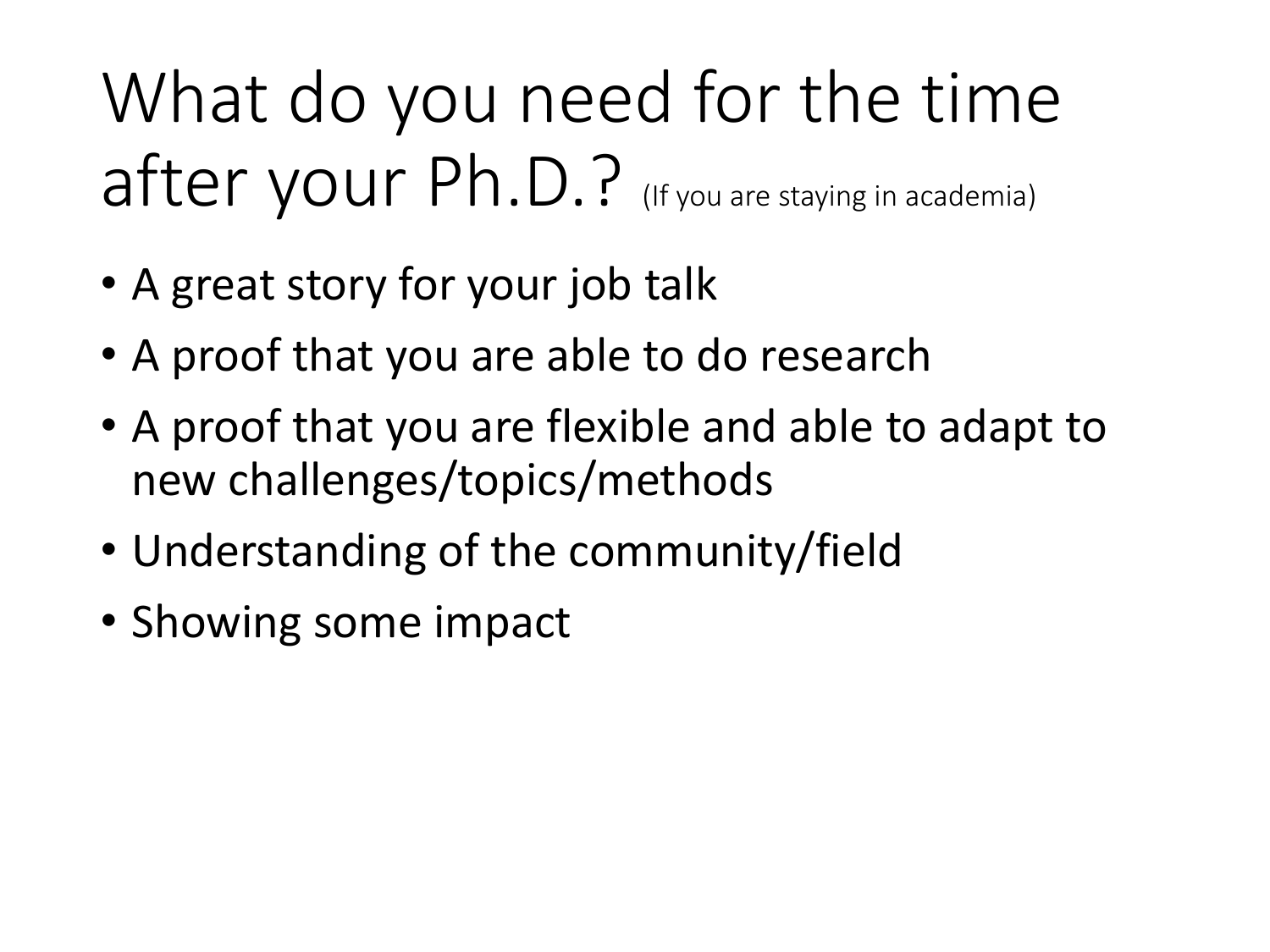## What do you need for the time after your Ph.D.? (If you are staying in academia)

- A great story for your job talk
- A proof that you are able to do research
- A proof that you are flexible and able to adapt to new challenges/topics/methods
- Understanding of the community/field
- Showing some impact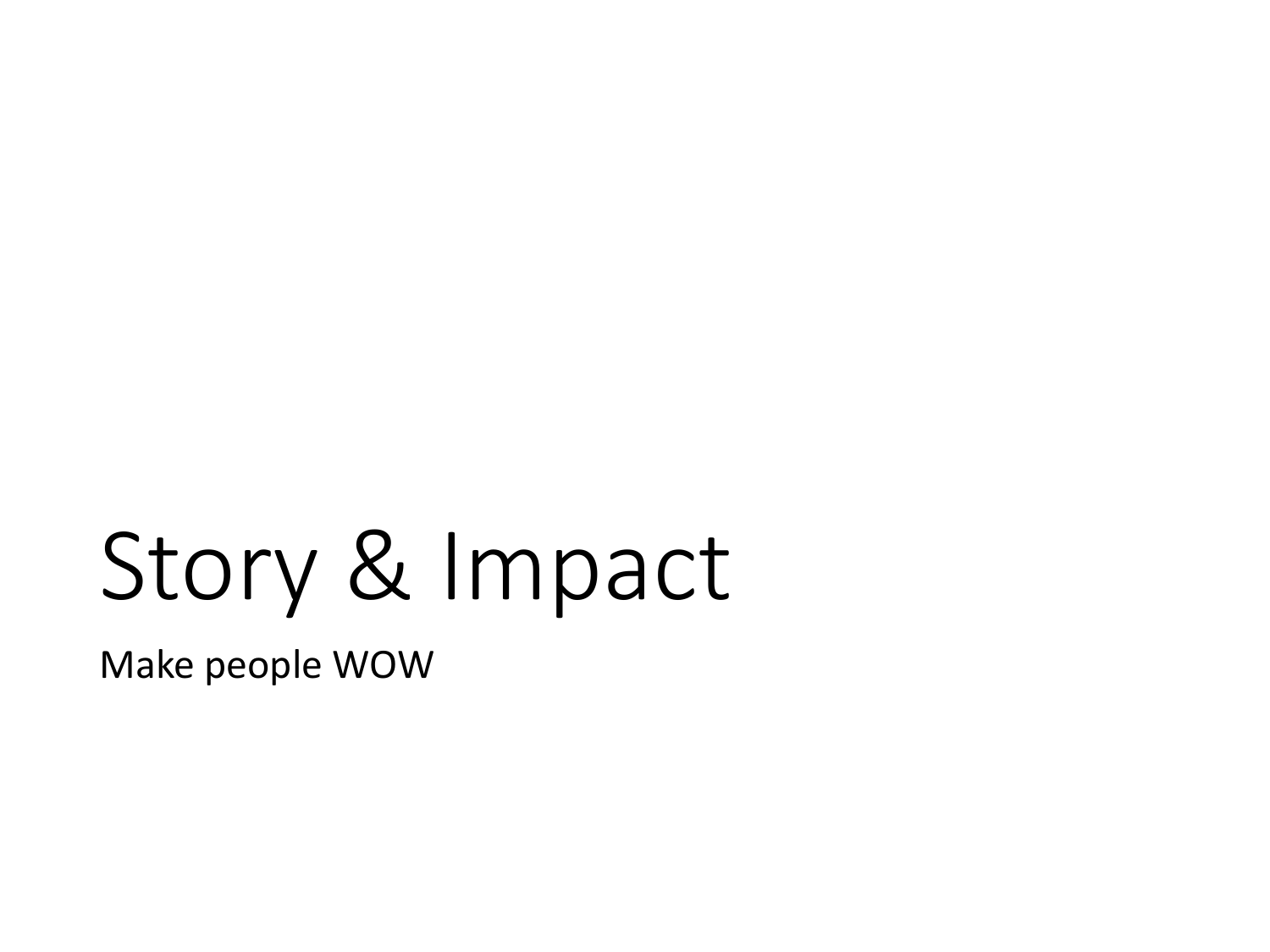# Story & Impact

Make people WOW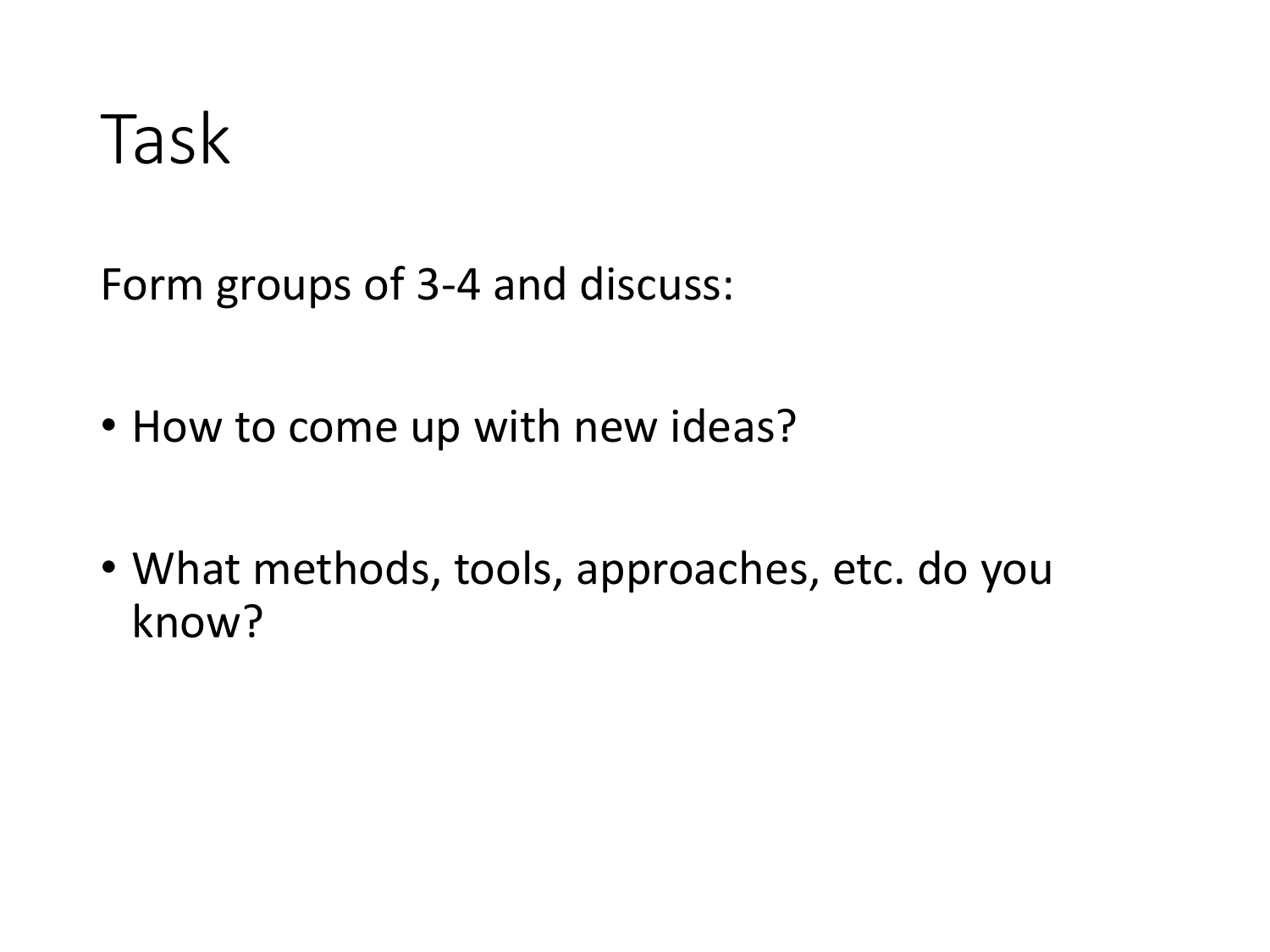### Task

Form groups of 3-4 and discuss:

- How to come up with new ideas?
- What methods, tools, approaches, etc. do you know?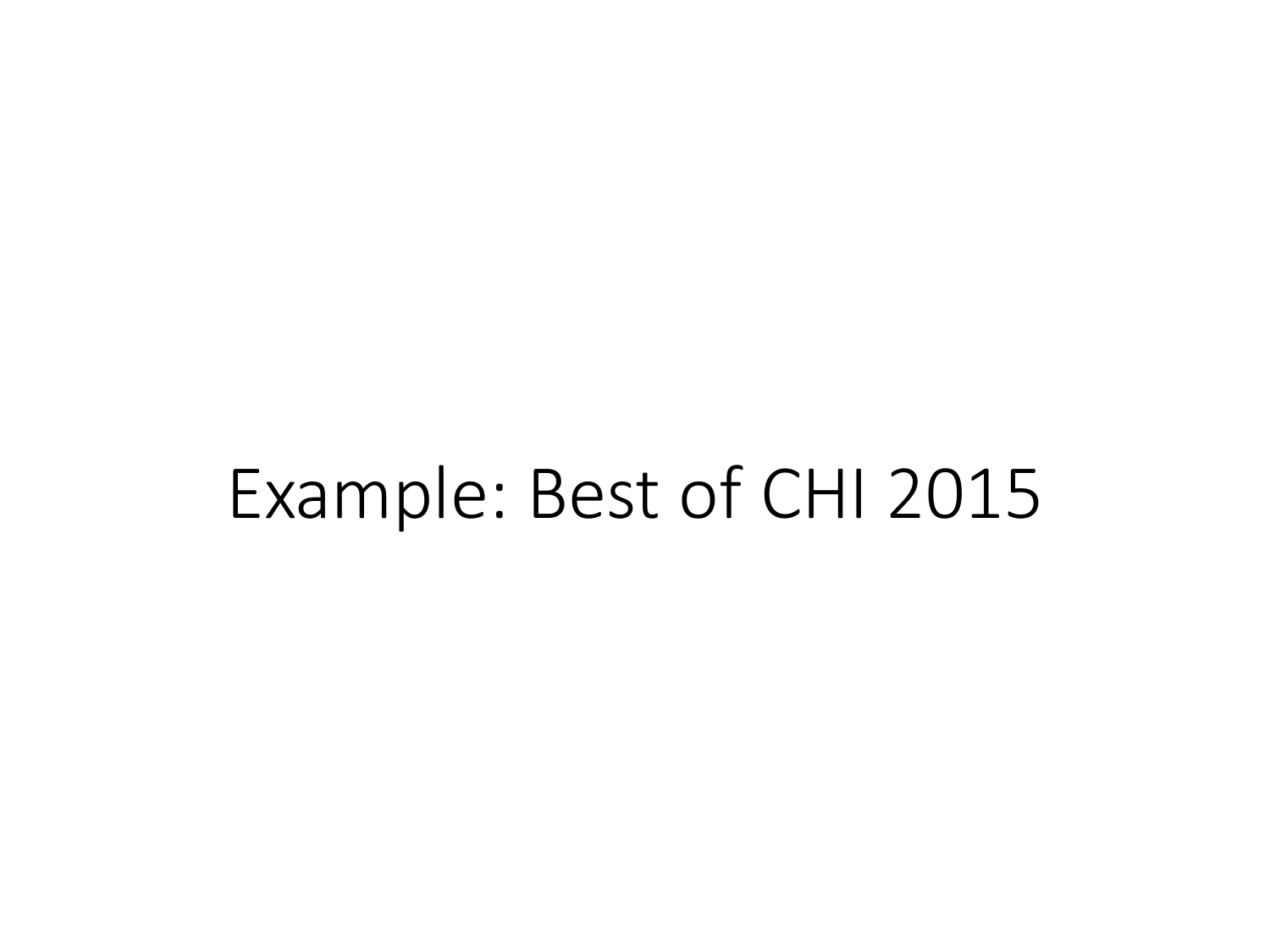### Example: Best of CHI 2015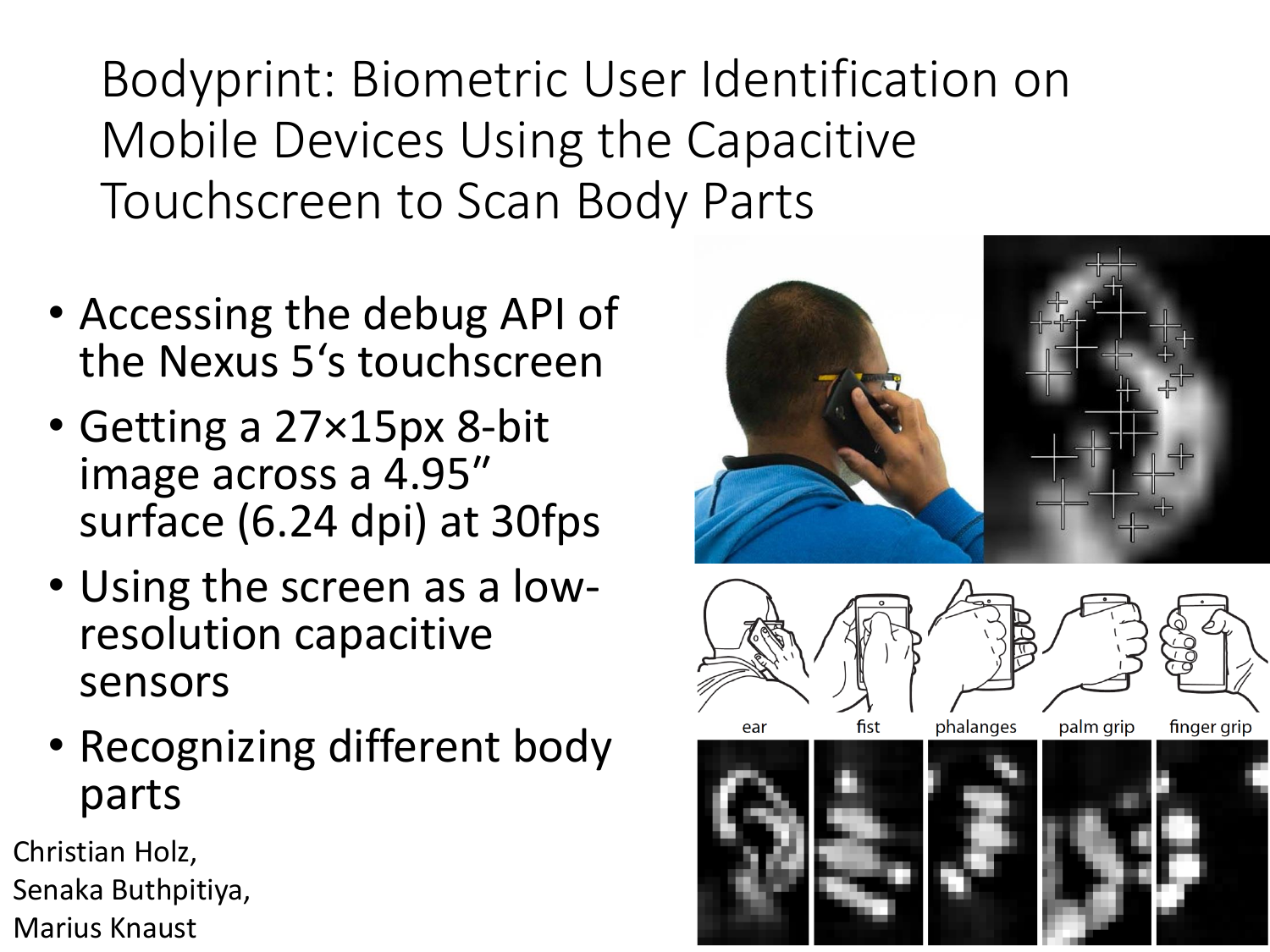Bodyprint: Biometric User Identification on Mobile Devices Using the Capacitive Touchscreen to Scan Body Parts

- Accessing the debug API of the Nexus 5's touchscreen
- Getting a 27×15px 8-bit image across a 4.95″ surface (6.24 dpi) at 30fps
- Using the screen as a lowresolution capacitive sensors
- Recognizing different body parts

Christian Holz, Senaka Buthpitiya,

Marius Knaust

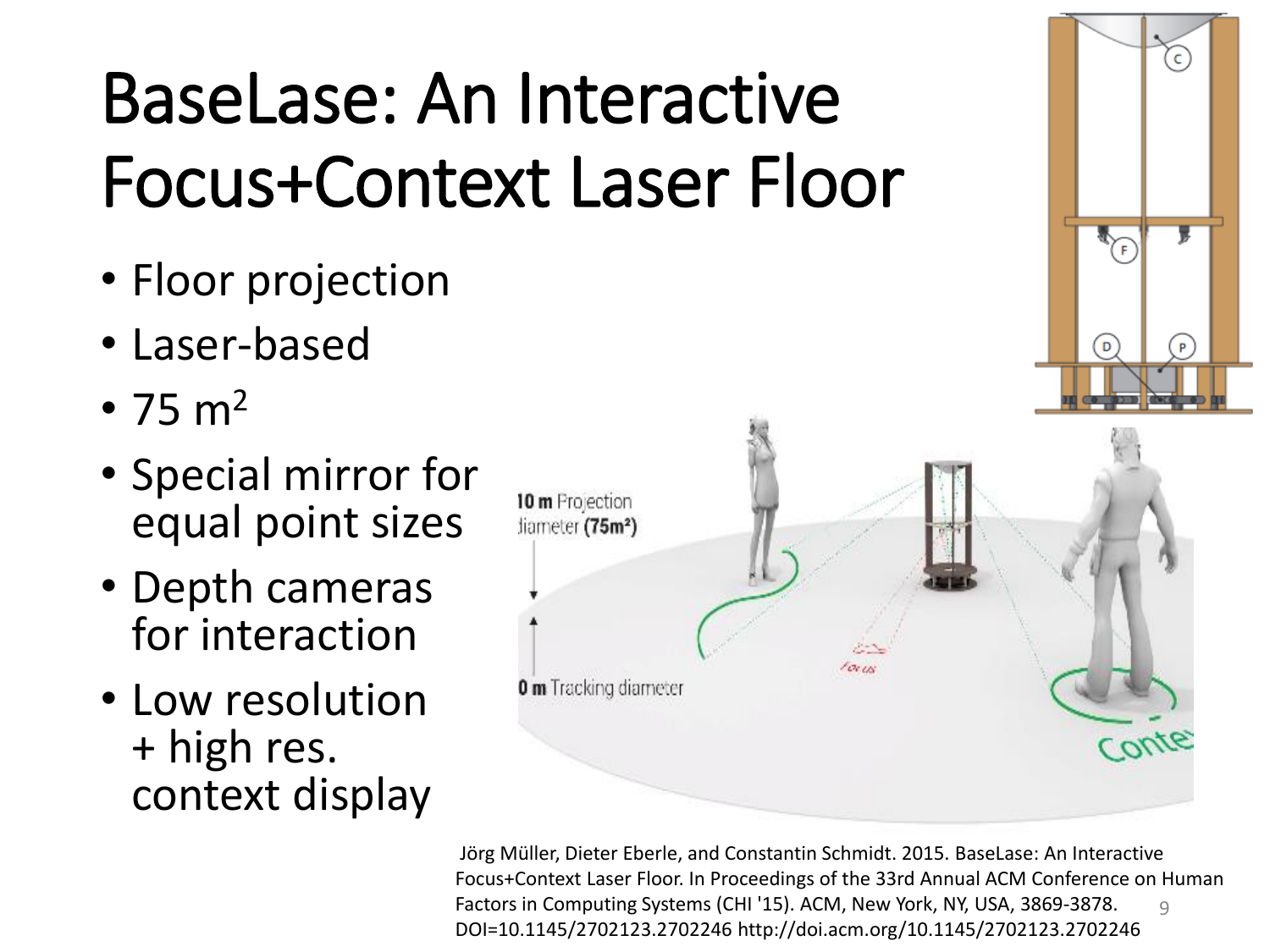## BaseLase: An Interactive Focus+Context Laser Floor

- Floor projection
- Laser-based
- 75  $m<sup>2</sup>$
- Special mirror for equal point sizes
- Depth cameras for interaction
- Low resolution + high res. context display



 $\mathsf{C}$ 

 $\mathsf{P}$ 

D

9 Jörg Müller, Dieter Eberle, and Constantin Schmidt. 2015. BaseLase: An Interactive Focus+Context Laser Floor. In Proceedings of the 33rd Annual ACM Conference on Human Factors in Computing Systems (CHI '15). ACM, New York, NY, USA, 3869-3878. DOI=10.1145/2702123.2702246 http://doi.acm.org/10.1145/2702123.2702246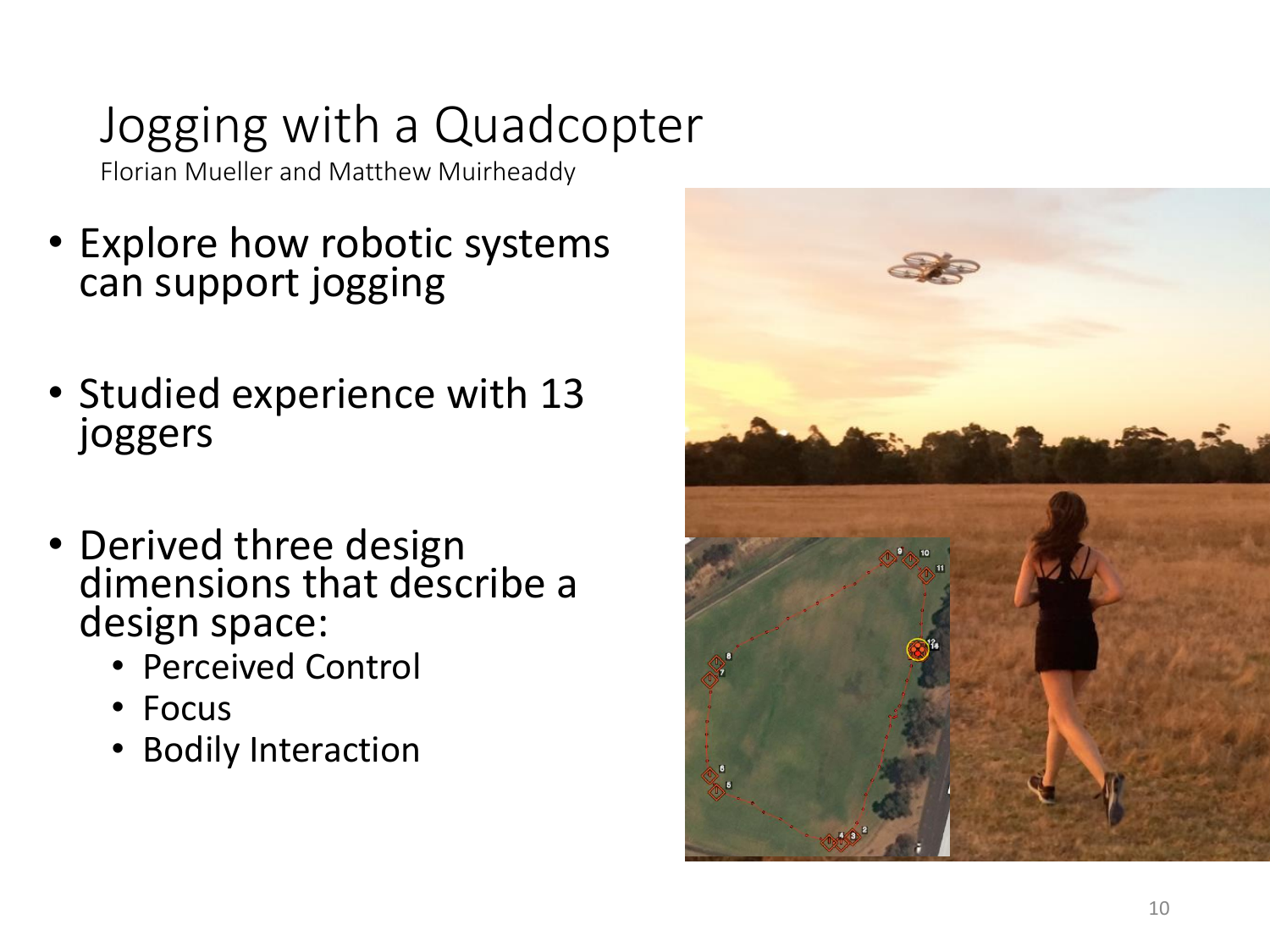### Jogging with a Quadcopter

Florian Mueller and Matthew Muirheaddy

- Explore how robotic systems can support jogging
- Studied experience with 13 joggers
- Derived three design dimensions that describe a design space:
	- Perceived Control
	- Focus
	- Bodily Interaction

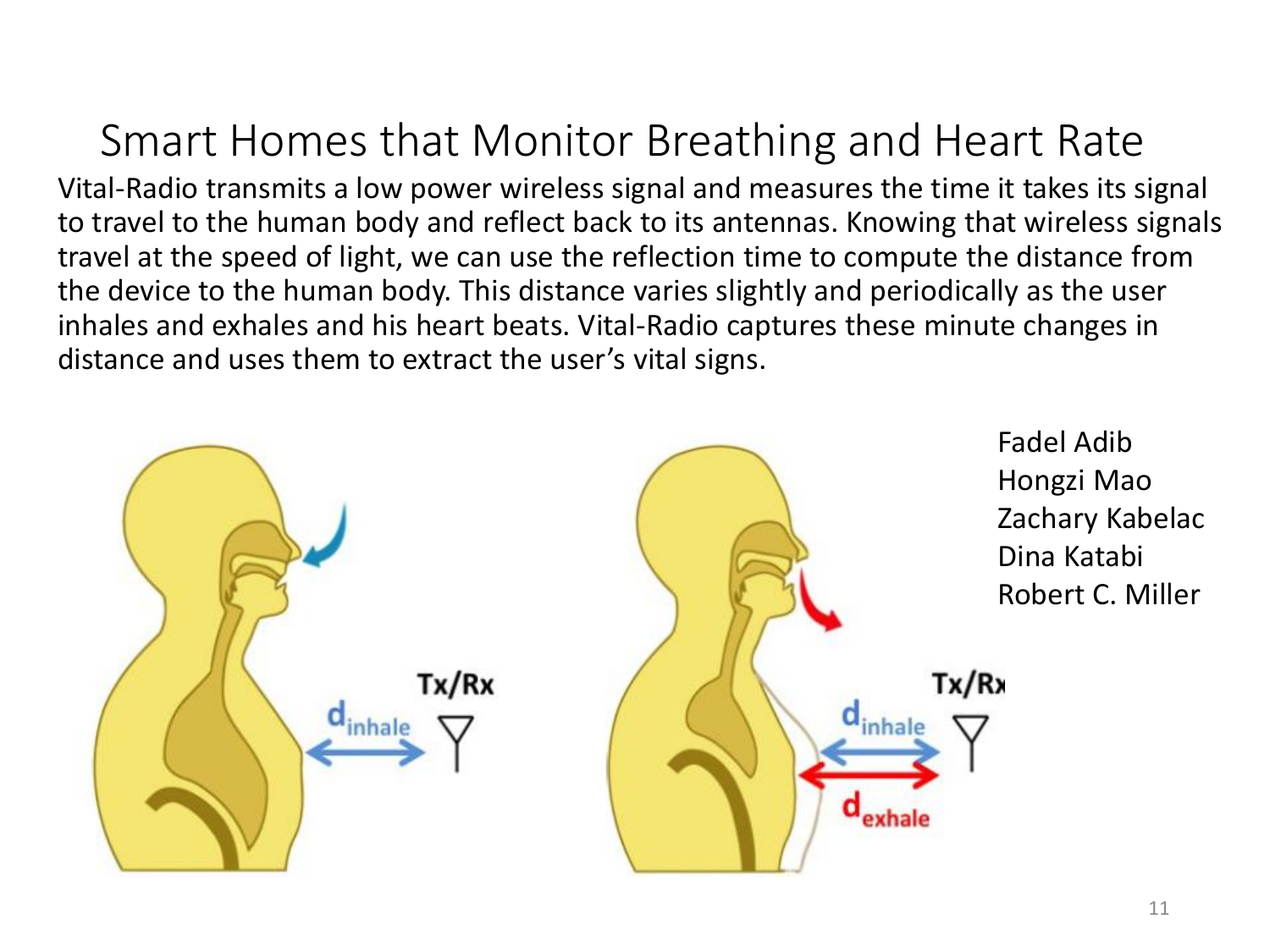#### Smart Homes that Monitor Breathing and Heart Rate

Vital-Radio transmits a low power wireless signal and measures the time it takes its signal to travel to the human body and reflect back to its antennas. Knowing that wireless signals travel at the speed of light, we can use the reflection time to compute the distance from the device to the human body. This distance varies slightly and periodically as the user inhales and exhales and his heart beats. Vital-Radio captures these minute changes in distance and uses them to extract the user's vital signs.

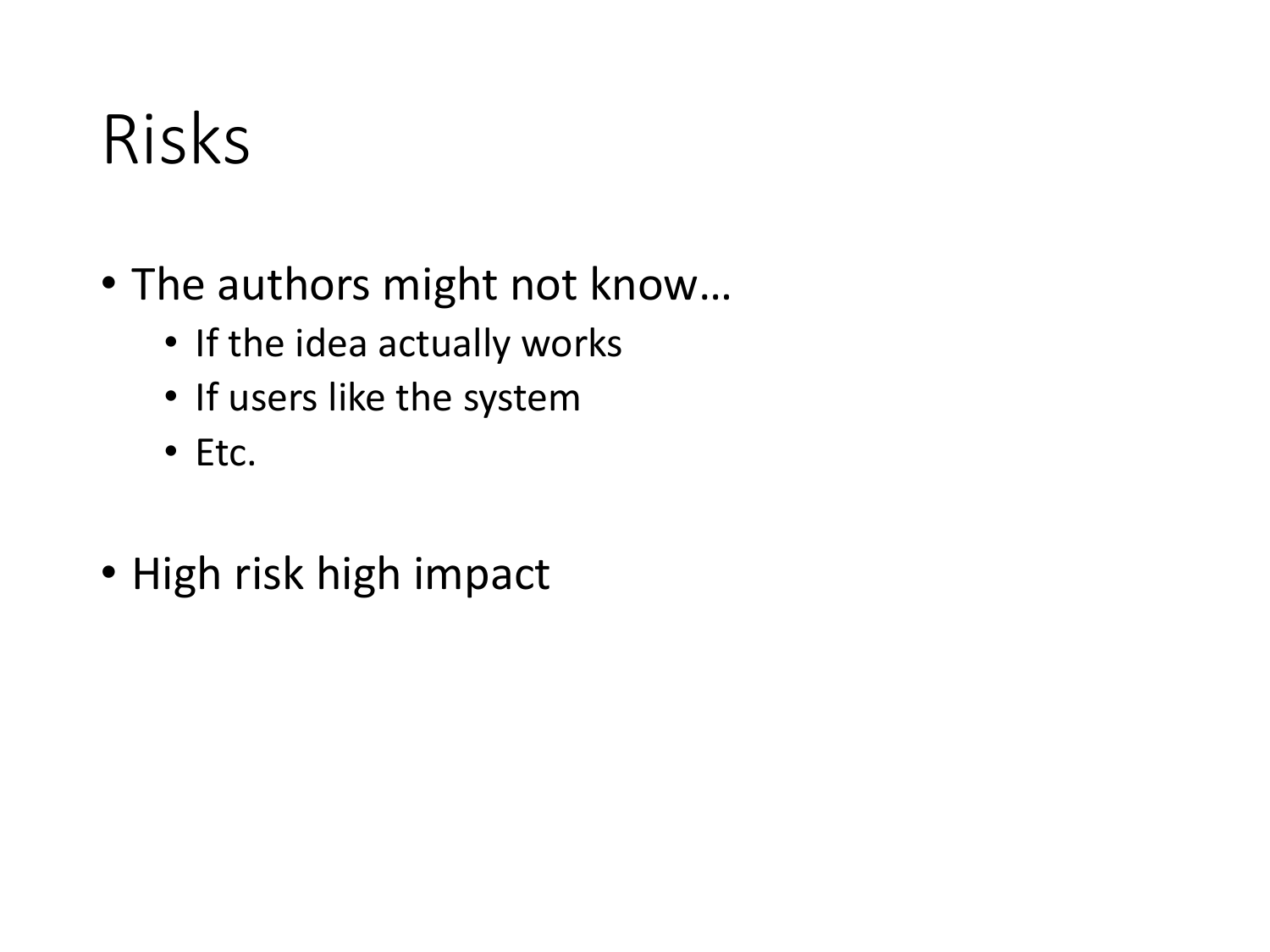## Risks

- The authors might not know…
	- If the idea actually works
	- If users like the system
	- Etc.
- High risk high impact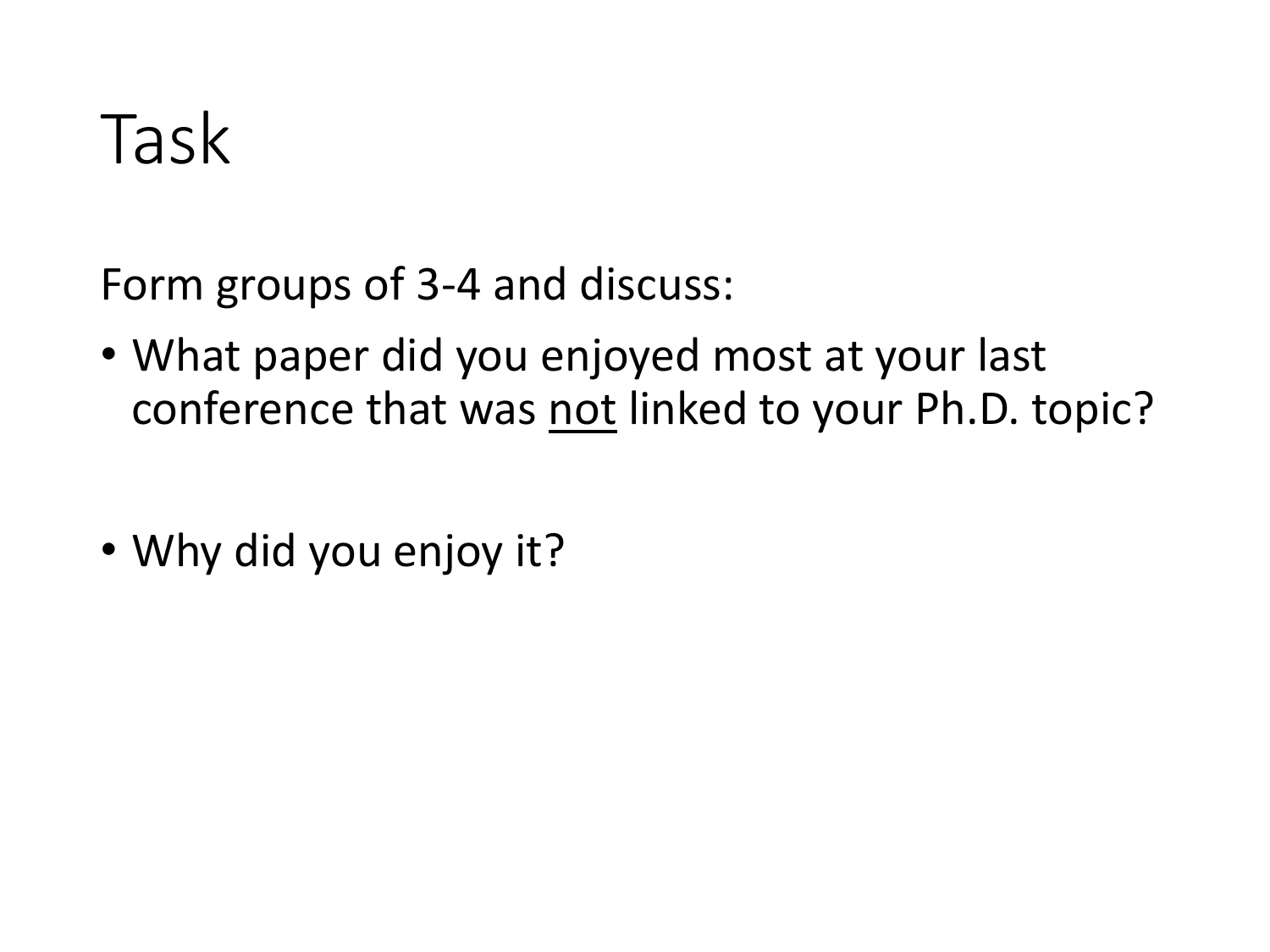## Task

Form groups of 3-4 and discuss:

- What paper did you enjoyed most at your last conference that was not linked to your Ph.D. topic?
- Why did you enjoy it?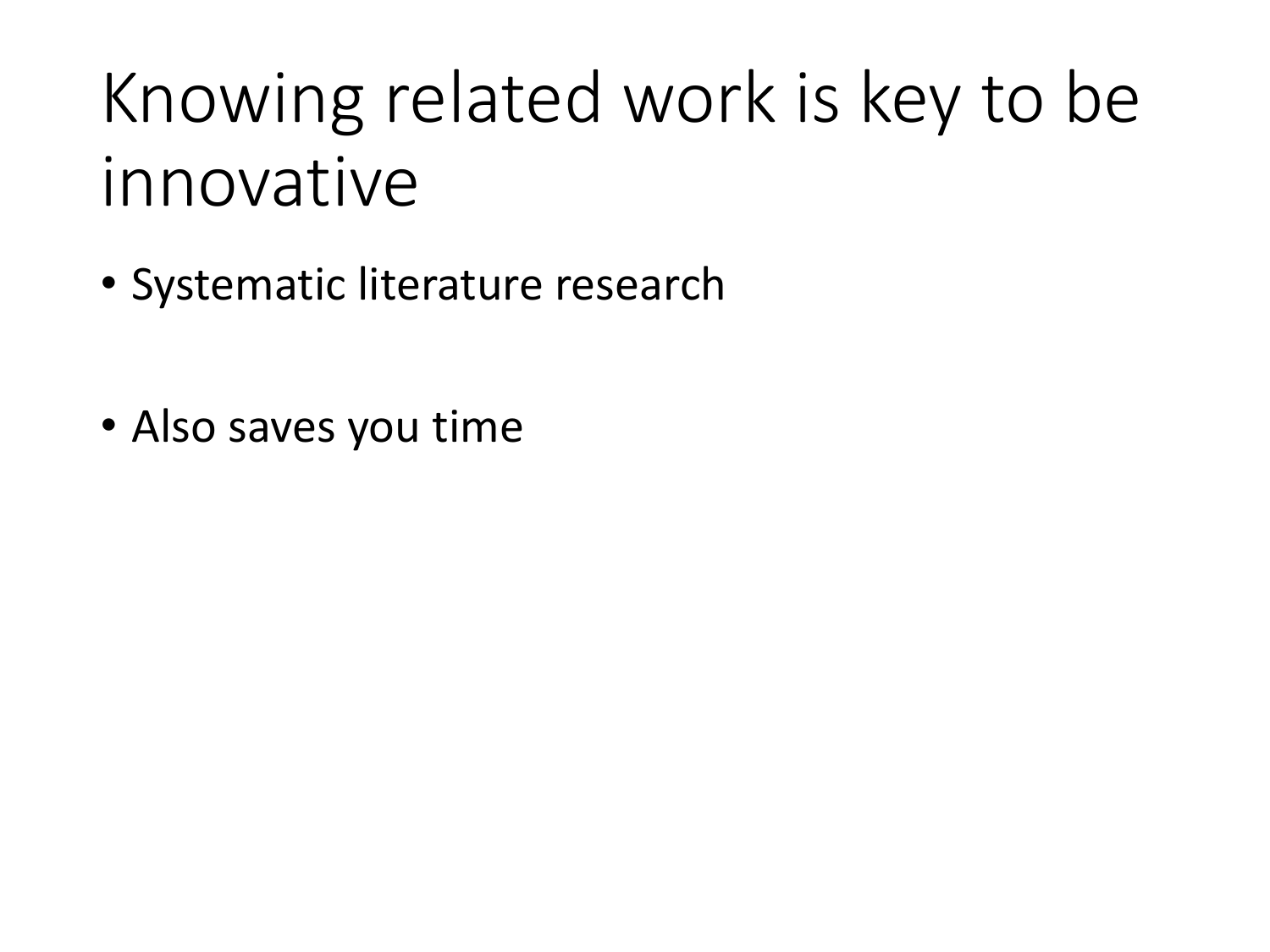## Knowing related work is key to be innovative

- Systematic literature research
- Also saves you time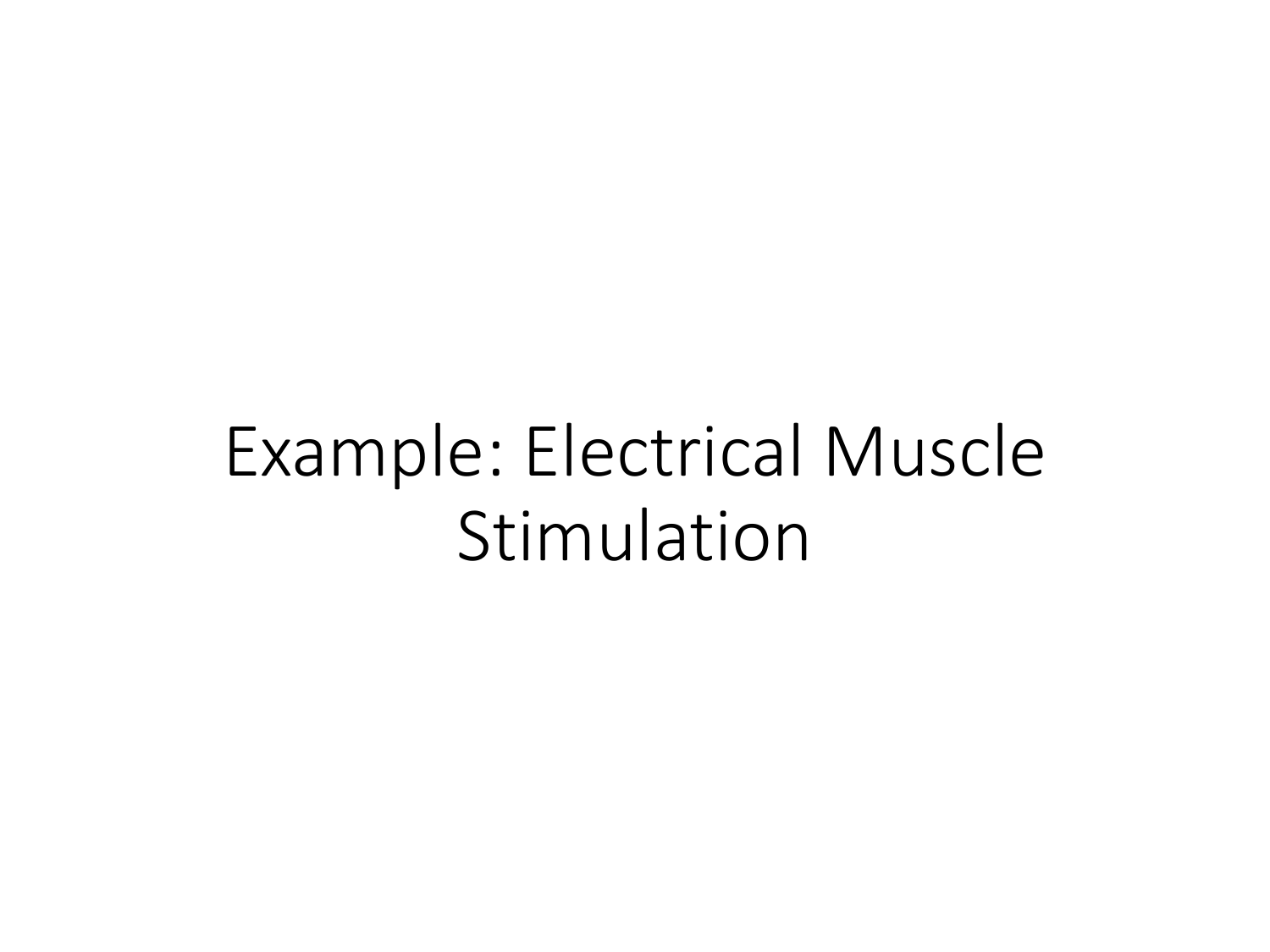### Example: Electrical Muscle Stimulation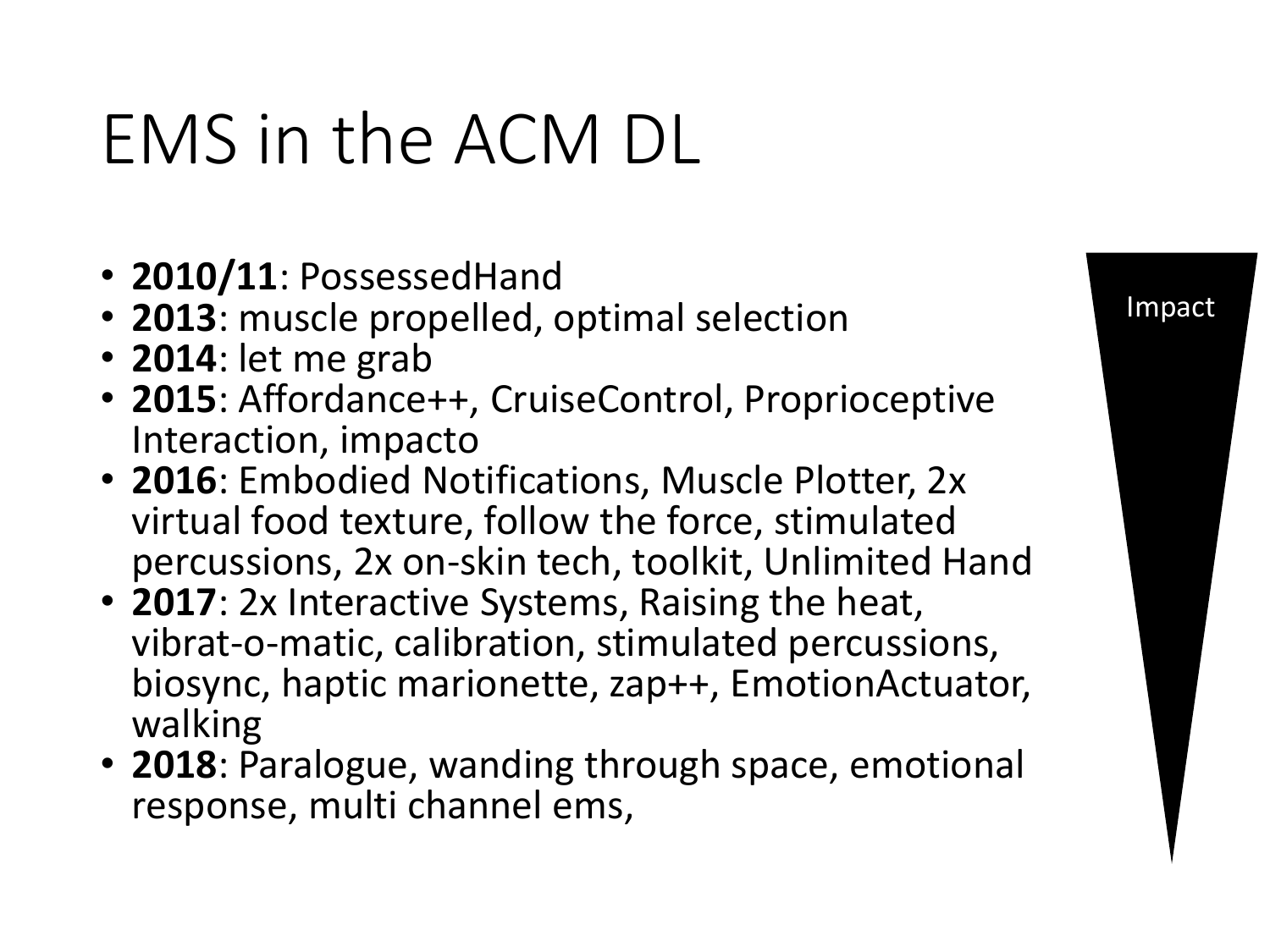## EMS in the ACM DL

- **2010/11**: PossessedHand
- **2013**: muscle propelled, optimal selection
- **2014**: let me grab
- **2015**: Affordance++, CruiseControl, Proprioceptive Interaction, impacto
- **2016**: Embodied Notifications, Muscle Plotter, 2x virtual food texture, follow the force, stimulated percussions, 2x on-skin tech, toolkit, Unlimited Hand
- **2017**: 2x Interactive Systems, Raising the heat, vibrat-o-matic, calibration, stimulated percussions, biosync, haptic marionette, zap++, EmotionActuator, walking
- **2018**: Paralogue, wanding through space, emotional response, multi channel ems,

#### Impact